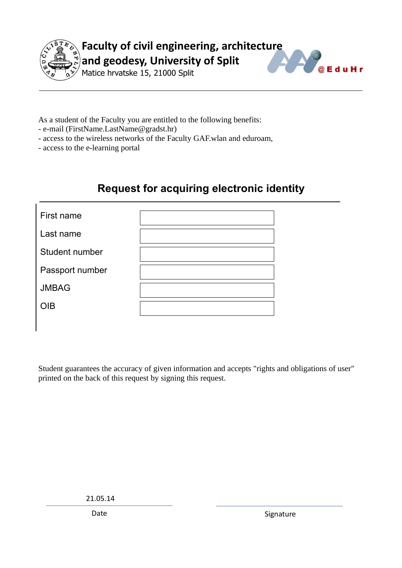

**Faculty of civil engineering, architecture and geodesy, University of Split**



Matice hrvatske 15, 21000 Split

As a student of the Faculty you are entitled to the following benefits:

- e-mail (FirstName.LastName@gradst.hr)
- access to the wireless networks of the Faculty GAF.wlan and eduroam,
- access to the e-learning portal

## **Request for acquiring electronic identity**

| First name      |  |
|-----------------|--|
| Last name       |  |
| Student number  |  |
| Passport number |  |
| <b>JMBAG</b>    |  |
| <b>OIB</b>      |  |

Student guarantees the accuracy of given information and accepts "rights and obligations of user" printed on the back of this request by signing this request.